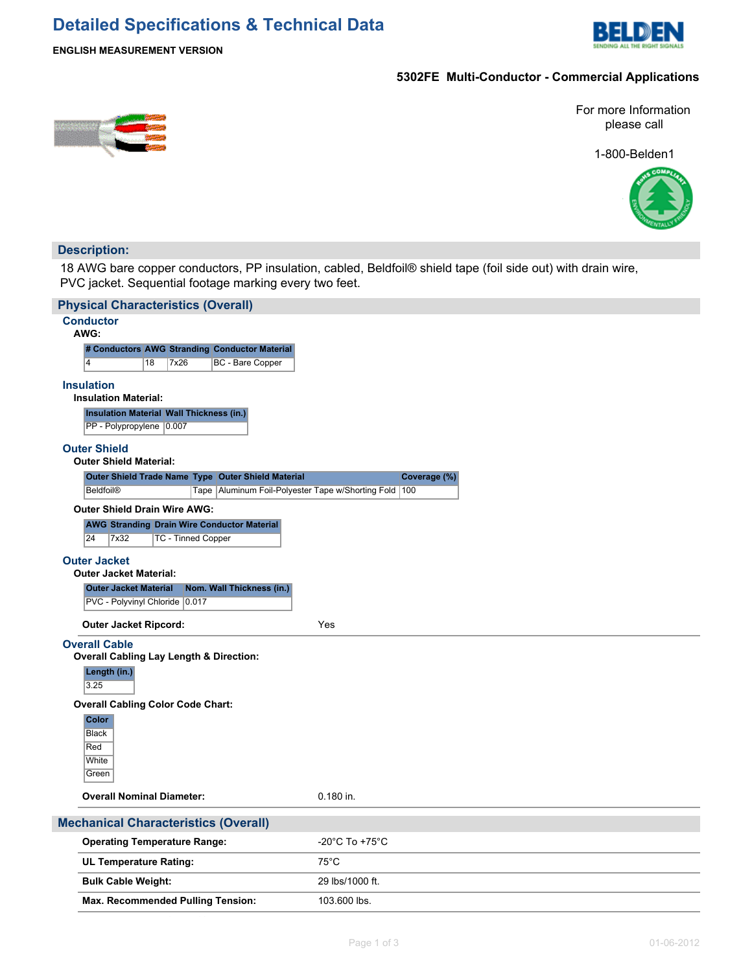# **Detailed Specifications & Technical Data**



### **ENGLISH MEASUREMENT VERSION**

## **5302FE Multi-Conductor - Commercial Applications**

For more Information please call

1-800-Belden1



## **Description:**

18 AWG bare copper conductors, PP insulation, cabled, Beldfoil® shield tape (foil side out) with drain wire, PVC jacket. Sequential footage marking every two feet.

|                                                      | <b>Physical Characteristics (Overall)</b>                                                     |                 |              |  |  |  |  |  |  |
|------------------------------------------------------|-----------------------------------------------------------------------------------------------|-----------------|--------------|--|--|--|--|--|--|
|                                                      | <b>Conductor</b><br>AWG:                                                                      |                 |              |  |  |  |  |  |  |
|                                                      | # Conductors AWG Stranding Conductor Material                                                 |                 |              |  |  |  |  |  |  |
|                                                      | 18<br>7x26<br>BC - Bare Copper<br>4                                                           |                 |              |  |  |  |  |  |  |
|                                                      | <b>Insulation</b><br><b>Insulation Material:</b>                                              |                 |              |  |  |  |  |  |  |
|                                                      | <b>Insulation Material Wall Thickness (in.)</b><br>PP - Polypropylene 0.007                   |                 |              |  |  |  |  |  |  |
|                                                      | <b>Outer Shield</b><br><b>Outer Shield Material:</b>                                          |                 |              |  |  |  |  |  |  |
|                                                      | Outer Shield Trade Name Type Outer Shield Material                                            |                 | Coverage (%) |  |  |  |  |  |  |
|                                                      | Tape   Aluminum Foil-Polyester Tape w/Shorting Fold   100<br><b>Beldfoil®</b>                 |                 |              |  |  |  |  |  |  |
|                                                      | <b>Outer Shield Drain Wire AWG:</b>                                                           |                 |              |  |  |  |  |  |  |
|                                                      | <b>AWG Stranding Drain Wire Conductor Material</b><br>24<br>7x32<br><b>TC - Tinned Copper</b> |                 |              |  |  |  |  |  |  |
| <b>Outer Jacket</b><br><b>Outer Jacket Material:</b> |                                                                                               |                 |              |  |  |  |  |  |  |
|                                                      | Nom. Wall Thickness (in.)<br><b>Outer Jacket Material</b>                                     |                 |              |  |  |  |  |  |  |
|                                                      | PVC - Polyvinyl Chloride 0.017                                                                |                 |              |  |  |  |  |  |  |
|                                                      | <b>Outer Jacket Ripcord:</b>                                                                  | Yes             |              |  |  |  |  |  |  |
|                                                      | <b>Overall Cable</b>                                                                          |                 |              |  |  |  |  |  |  |
|                                                      | <b>Overall Cabling Lay Length &amp; Direction:</b><br>Length (in.)                            |                 |              |  |  |  |  |  |  |
|                                                      | 3.25                                                                                          |                 |              |  |  |  |  |  |  |
|                                                      | <b>Overall Cabling Color Code Chart:</b>                                                      |                 |              |  |  |  |  |  |  |
|                                                      | <b>Color</b>                                                                                  |                 |              |  |  |  |  |  |  |
|                                                      | <b>Black</b>                                                                                  |                 |              |  |  |  |  |  |  |
|                                                      | Red<br>White                                                                                  |                 |              |  |  |  |  |  |  |
|                                                      | Green                                                                                         |                 |              |  |  |  |  |  |  |
|                                                      |                                                                                               |                 |              |  |  |  |  |  |  |
|                                                      | <b>Overall Nominal Diameter:</b>                                                              | 0.180 in.       |              |  |  |  |  |  |  |
| <b>Mechanical Characteristics (Overall)</b>          |                                                                                               |                 |              |  |  |  |  |  |  |
|                                                      | <b>Operating Temperature Range:</b>                                                           | -20°C To +75°C  |              |  |  |  |  |  |  |
|                                                      | UL Temperature Rating:                                                                        | $75^{\circ}$ C  |              |  |  |  |  |  |  |
|                                                      | <b>Bulk Cable Weight:</b>                                                                     | 29 lbs/1000 ft. |              |  |  |  |  |  |  |
|                                                      | <b>Max. Recommended Pulling Tension:</b>                                                      | 103.600 lbs.    |              |  |  |  |  |  |  |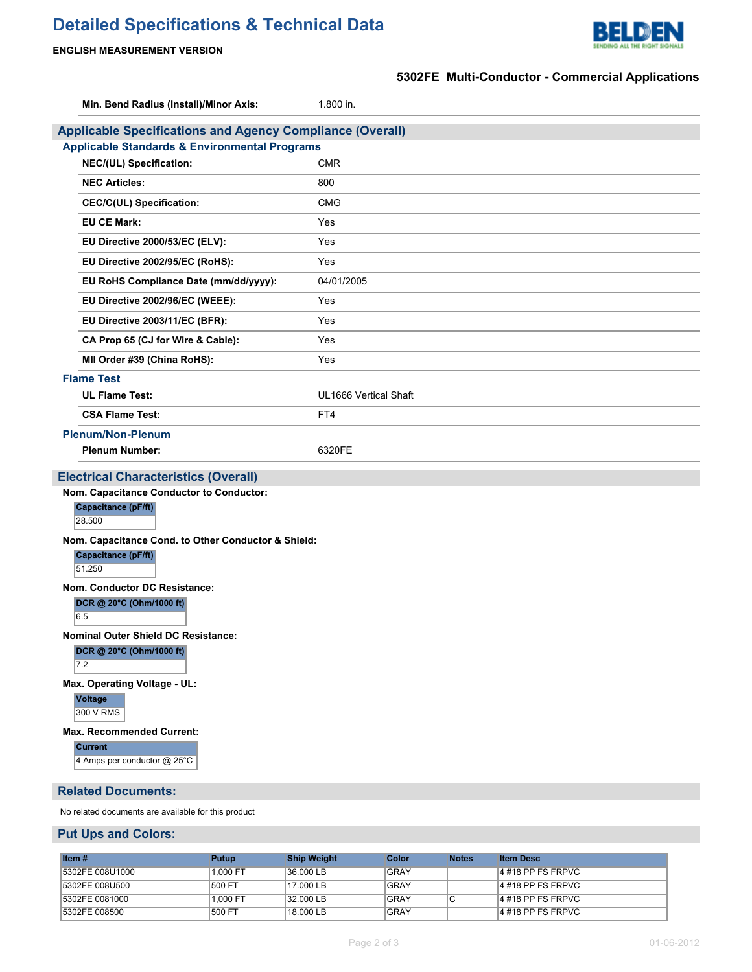# **Detailed Specifications & Technical Data**



## **ENGLISH MEASUREMENT VERSION**

|                                                                  | 5302FE Multi-Conductor - Commercial Applications |  |  |  |  |  |  |
|------------------------------------------------------------------|--------------------------------------------------|--|--|--|--|--|--|
| Min. Bend Radius (Install)/Minor Axis:                           | 1.800 in.                                        |  |  |  |  |  |  |
| <b>Applicable Specifications and Agency Compliance (Overall)</b> |                                                  |  |  |  |  |  |  |
| <b>Applicable Standards &amp; Environmental Programs</b>         |                                                  |  |  |  |  |  |  |
| NEC/(UL) Specification:                                          | <b>CMR</b>                                       |  |  |  |  |  |  |
| <b>NEC Articles:</b>                                             | 800                                              |  |  |  |  |  |  |
| <b>CEC/C(UL) Specification:</b>                                  | <b>CMG</b>                                       |  |  |  |  |  |  |
| <b>EU CE Mark:</b>                                               | Yes                                              |  |  |  |  |  |  |
| EU Directive 2000/53/EC (ELV):                                   | Yes                                              |  |  |  |  |  |  |
| EU Directive 2002/95/EC (RoHS):                                  | Yes                                              |  |  |  |  |  |  |
| EU RoHS Compliance Date (mm/dd/yyyy):                            | 04/01/2005                                       |  |  |  |  |  |  |
| EU Directive 2002/96/EC (WEEE):                                  | Yes                                              |  |  |  |  |  |  |
| EU Directive 2003/11/EC (BFR):                                   | Yes                                              |  |  |  |  |  |  |
| CA Prop 65 (CJ for Wire & Cable):                                | Yes                                              |  |  |  |  |  |  |
| MII Order #39 (China RoHS):                                      | Yes                                              |  |  |  |  |  |  |
| <b>Flame Test</b>                                                |                                                  |  |  |  |  |  |  |
| <b>UL Flame Test:</b>                                            | UL1666 Vertical Shaft                            |  |  |  |  |  |  |
| <b>CSA Flame Test:</b>                                           | FT4                                              |  |  |  |  |  |  |
| <b>Plenum/Non-Plenum</b>                                         |                                                  |  |  |  |  |  |  |
| <b>Plenum Number:</b>                                            | 6320FE                                           |  |  |  |  |  |  |
| <b>Electrical Characteristics (Overall)</b>                      |                                                  |  |  |  |  |  |  |
| Nom. Capacitance Conductor to Conductor:                         |                                                  |  |  |  |  |  |  |
| Capacitance (pF/ft)<br>28.500                                    |                                                  |  |  |  |  |  |  |
| Nom. Capacitance Cond. to Other Conductor & Shield:              |                                                  |  |  |  |  |  |  |
| Capacitance (pF/ft)                                              |                                                  |  |  |  |  |  |  |
| 51.250                                                           |                                                  |  |  |  |  |  |  |
| Nom. Conductor DC Resistance:                                    |                                                  |  |  |  |  |  |  |
| DCR @ 20°C (Ohm/1000 ft)                                         |                                                  |  |  |  |  |  |  |
| 6.5<br><b>Nominal Outer Shield DC Resistance:</b>                |                                                  |  |  |  |  |  |  |
| DCR @ 20°C (Ohm/1000 ft)                                         |                                                  |  |  |  |  |  |  |
| 7.2                                                              |                                                  |  |  |  |  |  |  |
| Max. Operating Voltage - UL:                                     |                                                  |  |  |  |  |  |  |
| <b>Voltage</b><br>300 V RMS                                      |                                                  |  |  |  |  |  |  |
| Max. Recommended Current:                                        |                                                  |  |  |  |  |  |  |
| <b>Current</b><br>4 Amps per conductor @ 25°C                    |                                                  |  |  |  |  |  |  |
| <b>Related Documents:</b>                                        |                                                  |  |  |  |  |  |  |
| No related documents are available for this product              |                                                  |  |  |  |  |  |  |
| <b>Put Ups and Colors:</b>                                       |                                                  |  |  |  |  |  |  |

| Item#            | Putup    | <b>Ship Weight</b> | Color       | <b>Notes</b> | <b>Item Desc</b>     |
|------------------|----------|--------------------|-------------|--------------|----------------------|
| 15302FE 008U1000 | 1.000 FT | $136.000$ LB       | <b>GRAY</b> |              | $14$ #18 PP FS FRPVC |
| 15302FE 008U500  | 500 FT   | 17.000 LB          | <b>GRAY</b> |              | $14$ #18 PP FS FRPVC |
| 15302FE 0081000  | 1.000 FT | 32.000 LB          | GRAY        |              | 4 #18 PP FS FRPVC    |
| 5302FE 008500    | 500 FT   | 18.000 LB          | GRAY        |              | $14$ #18 PP FS FRPVC |